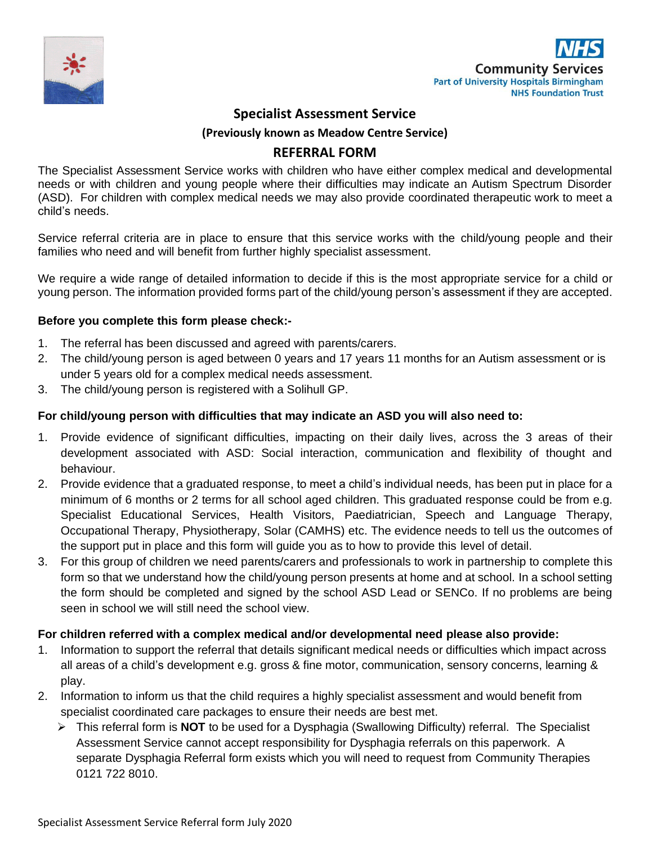



## **Specialist Assessment Service**

**(Previously known as Meadow Centre Service)**

### **REFERRAL FORM**

The Specialist Assessment Service works with children who have either complex medical and developmental needs or with children and young people where their difficulties may indicate an Autism Spectrum Disorder (ASD). For children with complex medical needs we may also provide coordinated therapeutic work to meet a child's needs.

Service referral criteria are in place to ensure that this service works with the child/young people and their families who need and will benefit from further highly specialist assessment.

We require a wide range of detailed information to decide if this is the most appropriate service for a child or young person. The information provided forms part of the child/young person's assessment if they are accepted.

### **Before you complete this form please check:-**

- 1. The referral has been discussed and agreed with parents/carers.
- 2. The child/young person is aged between 0 years and 17 years 11 months for an Autism assessment or is under 5 years old for a complex medical needs assessment.
- 3. The child/young person is registered with a Solihull GP.

### **For child/young person with difficulties that may indicate an ASD you will also need to:**

- 1. Provide evidence of significant difficulties, impacting on their daily lives, across the 3 areas of their development associated with ASD: Social interaction, communication and flexibility of thought and behaviour.
- 2. Provide evidence that a graduated response, to meet a child's individual needs, has been put in place for a minimum of 6 months or 2 terms for all school aged children. This graduated response could be from e.g. Specialist Educational Services, Health Visitors, Paediatrician, Speech and Language Therapy, Occupational Therapy, Physiotherapy, Solar (CAMHS) etc. The evidence needs to tell us the outcomes of the support put in place and this form will guide you as to how to provide this level of detail.
- 3. For this group of children we need parents/carers and professionals to work in partnership to complete this form so that we understand how the child/young person presents at home and at school. In a school setting the form should be completed and signed by the school ASD Lead or SENCo. If no problems are being seen in school we will still need the school view.

#### **For children referred with a complex medical and/or developmental need please also provide:**

- 1. Information to support the referral that details significant medical needs or difficulties which impact across all areas of a child's development e.g. gross & fine motor, communication, sensory concerns, learning & play.
- 2. Information to inform us that the child requires a highly specialist assessment and would benefit from specialist coordinated care packages to ensure their needs are best met.
	- ➢ This referral form is **NOT** to be used for a Dysphagia (Swallowing Difficulty) referral. The Specialist Assessment Service cannot accept responsibility for Dysphagia referrals on this paperwork. A separate Dysphagia Referral form exists which you will need to request from Community Therapies 0121 722 8010.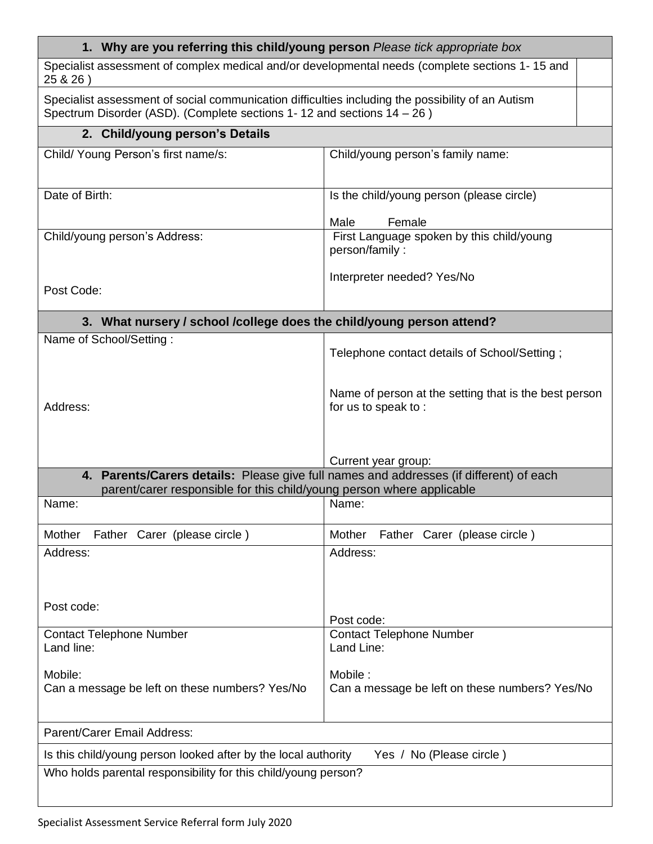| 1. Why are you referring this child/young person Please tick appropriate box                                                                                                   |                                                                              |  |  |  |
|--------------------------------------------------------------------------------------------------------------------------------------------------------------------------------|------------------------------------------------------------------------------|--|--|--|
| Specialist assessment of complex medical and/or developmental needs (complete sections 1-15 and<br>25 & 26)                                                                    |                                                                              |  |  |  |
| Specialist assessment of social communication difficulties including the possibility of an Autism<br>Spectrum Disorder (ASD). (Complete sections 1-12 and sections $14 - 26$ ) |                                                                              |  |  |  |
| 2. Child/young person's Details                                                                                                                                                |                                                                              |  |  |  |
| Child/ Young Person's first name/s:                                                                                                                                            | Child/young person's family name:                                            |  |  |  |
| Date of Birth:                                                                                                                                                                 | Is the child/young person (please circle)<br>Male<br>Female                  |  |  |  |
| Child/young person's Address:                                                                                                                                                  | First Language spoken by this child/young<br>person/family:                  |  |  |  |
| Post Code:                                                                                                                                                                     | Interpreter needed? Yes/No                                                   |  |  |  |
| 3. What nursery / school /college does the child/young person attend?                                                                                                          |                                                                              |  |  |  |
| Name of School/Setting:                                                                                                                                                        | Telephone contact details of School/Setting;                                 |  |  |  |
| Address:                                                                                                                                                                       | Name of person at the setting that is the best person<br>for us to speak to: |  |  |  |
| Current year group:                                                                                                                                                            |                                                                              |  |  |  |
| 4. Parents/Carers details: Please give full names and addresses (if different) of each<br>parent/carer responsible for this child/young person where applicable                |                                                                              |  |  |  |
| Name:                                                                                                                                                                          | Name:                                                                        |  |  |  |
| Mother<br>Father Carer (please circle)                                                                                                                                         | Mother<br>Father Carer (please circle)                                       |  |  |  |
| Address:                                                                                                                                                                       | Address:                                                                     |  |  |  |
| Post code:                                                                                                                                                                     | Post code:                                                                   |  |  |  |
| <b>Contact Telephone Number</b><br>Land line:                                                                                                                                  | <b>Contact Telephone Number</b><br>Land Line:                                |  |  |  |
| Mobile:<br>Can a message be left on these numbers? Yes/No                                                                                                                      | Mobile:<br>Can a message be left on these numbers? Yes/No                    |  |  |  |
| Parent/Carer Email Address:                                                                                                                                                    |                                                                              |  |  |  |
| Is this child/young person looked after by the local authority                                                                                                                 | Yes / No (Please circle)                                                     |  |  |  |
| Who holds parental responsibility for this child/young person?                                                                                                                 |                                                                              |  |  |  |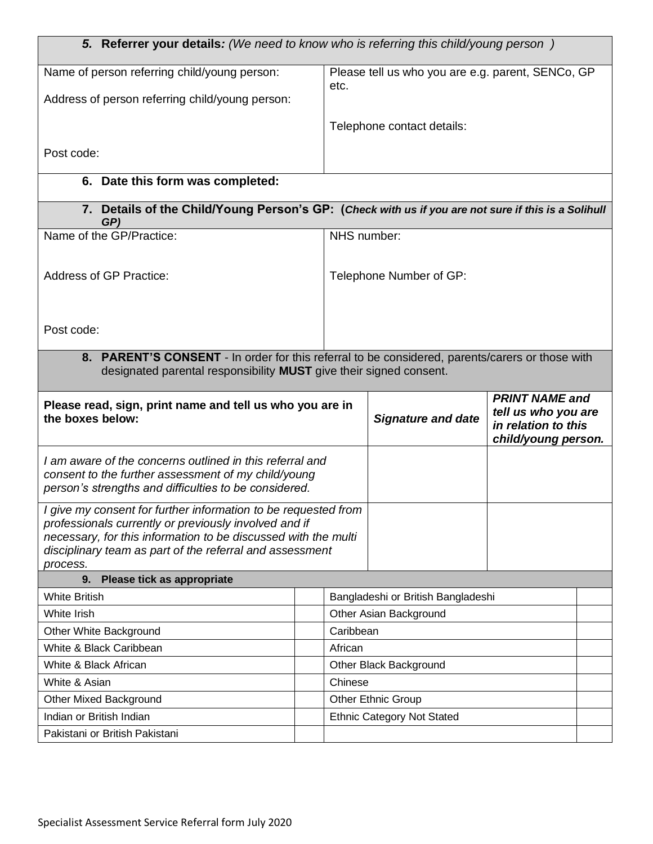| 5. Referrer your details: (We need to know who is referring this child/young person)                                       |  |             |                                                   |                                                                   |  |
|----------------------------------------------------------------------------------------------------------------------------|--|-------------|---------------------------------------------------|-------------------------------------------------------------------|--|
| Name of person referring child/young person:                                                                               |  |             | Please tell us who you are e.g. parent, SENCo, GP |                                                                   |  |
| Address of person referring child/young person:                                                                            |  | etc.        |                                                   |                                                                   |  |
|                                                                                                                            |  |             |                                                   |                                                                   |  |
|                                                                                                                            |  |             | Telephone contact details:                        |                                                                   |  |
| Post code:                                                                                                                 |  |             |                                                   |                                                                   |  |
|                                                                                                                            |  |             |                                                   |                                                                   |  |
| 6. Date this form was completed:                                                                                           |  |             |                                                   |                                                                   |  |
| 7. Details of the Child/Young Person's GP: (Check with us if you are not sure if this is a Solihull<br>GP)                 |  |             |                                                   |                                                                   |  |
| Name of the GP/Practice:                                                                                                   |  | NHS number: |                                                   |                                                                   |  |
|                                                                                                                            |  |             |                                                   |                                                                   |  |
| Address of GP Practice:                                                                                                    |  |             | Telephone Number of GP:                           |                                                                   |  |
|                                                                                                                            |  |             |                                                   |                                                                   |  |
|                                                                                                                            |  |             |                                                   |                                                                   |  |
| Post code:                                                                                                                 |  |             |                                                   |                                                                   |  |
| 8. PARENT'S CONSENT - In order for this referral to be considered, parents/carers or those with                            |  |             |                                                   |                                                                   |  |
| designated parental responsibility <b>MUST</b> give their signed consent.                                                  |  |             |                                                   |                                                                   |  |
|                                                                                                                            |  |             |                                                   | <b>PRINT NAME and</b>                                             |  |
| Please read, sign, print name and tell us who you are in<br>the boxes below:                                               |  |             | <b>Signature and date</b>                         | tell us who you are<br>in relation to this<br>child/young person. |  |
|                                                                                                                            |  |             |                                                   |                                                                   |  |
| I am aware of the concerns outlined in this referral and<br>consent to the further assessment of my child/young            |  |             |                                                   |                                                                   |  |
| person's strengths and difficulties to be considered.                                                                      |  |             |                                                   |                                                                   |  |
| I give my consent for further information to be requested from                                                             |  |             |                                                   |                                                                   |  |
| professionals currently or previously involved and if                                                                      |  |             |                                                   |                                                                   |  |
| necessary, for this information to be discussed with the multi<br>disciplinary team as part of the referral and assessment |  |             |                                                   |                                                                   |  |
| process.                                                                                                                   |  |             |                                                   |                                                                   |  |
| 9.<br>Please tick as appropriate                                                                                           |  |             |                                                   |                                                                   |  |
| <b>White British</b>                                                                                                       |  |             | Bangladeshi or British Bangladeshi                |                                                                   |  |
| White Irish                                                                                                                |  |             | Other Asian Background                            |                                                                   |  |
| Other White Background                                                                                                     |  | Caribbean   |                                                   |                                                                   |  |
| White & Black Caribbean                                                                                                    |  | African     |                                                   |                                                                   |  |
| White & Black African                                                                                                      |  |             | Other Black Background                            |                                                                   |  |
| White & Asian                                                                                                              |  | Chinese     |                                                   |                                                                   |  |
| <b>Other Mixed Background</b>                                                                                              |  |             | <b>Other Ethnic Group</b>                         |                                                                   |  |
| Indian or British Indian                                                                                                   |  |             | <b>Ethnic Category Not Stated</b>                 |                                                                   |  |
| Pakistani or British Pakistani                                                                                             |  |             |                                                   |                                                                   |  |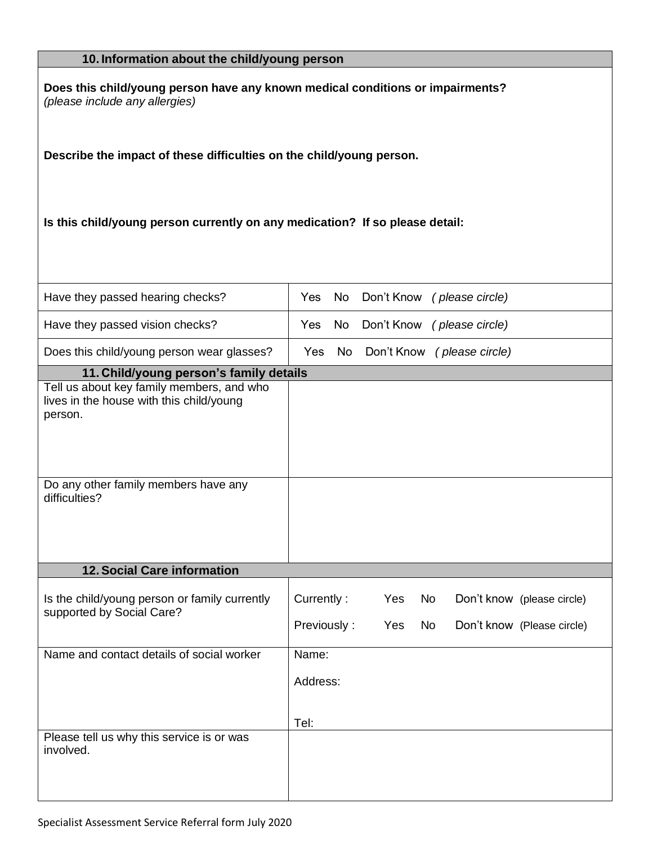### **10. Information about the child/young person**

**Does this child/young person have any known medical conditions or impairments?**  *(please include any allergies)* 

**Describe the impact of these difficulties on the child/young person.** 

**Is this child/young person currently on any medication? If so please detail:** 

| Have they passed hearing checks?                                                                 | No<br>Yes                 | Don't Know (please circle) |                        |                                                          |  |
|--------------------------------------------------------------------------------------------------|---------------------------|----------------------------|------------------------|----------------------------------------------------------|--|
| Have they passed vision checks?                                                                  | <b>No</b><br>Yes          | Don't Know (please circle) |                        |                                                          |  |
| Does this child/young person wear glasses?                                                       | <b>No</b><br>Yes          | Don't Know (please circle) |                        |                                                          |  |
| 11. Child/young person's family details                                                          |                           |                            |                        |                                                          |  |
| Tell us about key family members, and who<br>lives in the house with this child/young<br>person. |                           |                            |                        |                                                          |  |
| Do any other family members have any<br>difficulties?                                            |                           |                            |                        |                                                          |  |
| 12. Social Care information                                                                      |                           |                            |                        |                                                          |  |
|                                                                                                  |                           |                            |                        |                                                          |  |
| Is the child/young person or family currently<br>supported by Social Care?                       | Currently:<br>Previously: | Yes<br>Yes                 | <b>No</b><br><b>No</b> | Don't know (please circle)<br>Don't know (Please circle) |  |
| Name and contact details of social worker                                                        | Name:                     |                            |                        |                                                          |  |
|                                                                                                  | Address:                  |                            |                        |                                                          |  |
| Please tell us why this service is or was                                                        | Tel:                      |                            |                        |                                                          |  |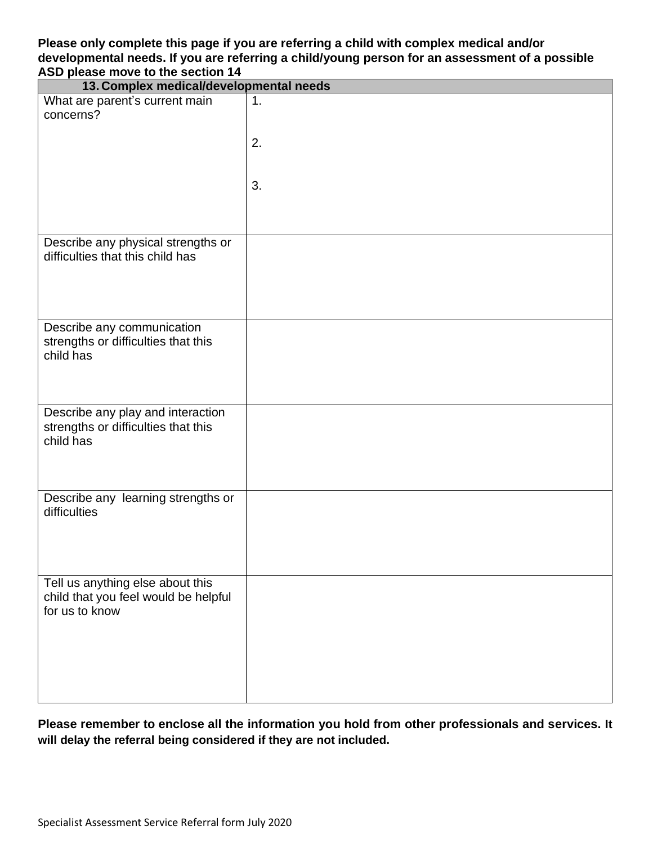#### **Please only complete this page if you are referring a child with complex medical and/or developmental needs. If you are referring a child/young person for an assessment of a possible ASD please move to the section 14**

| 13. Complex medical/developmental needs                                                    |                |
|--------------------------------------------------------------------------------------------|----------------|
| What are parent's current main<br>concerns?                                                | $\mathbf{1}$ . |
|                                                                                            | 2.             |
|                                                                                            | 3.             |
|                                                                                            |                |
| Describe any physical strengths or<br>difficulties that this child has                     |                |
| Describe any communication<br>strengths or difficulties that this<br>child has             |                |
| Describe any play and interaction<br>strengths or difficulties that this<br>child has      |                |
| Describe any learning strengths or<br>difficulties                                         |                |
| Tell us anything else about this<br>child that you feel would be helpful<br>for us to know |                |

**Please remember to enclose all the information you hold from other professionals and services. It will delay the referral being considered if they are not included.**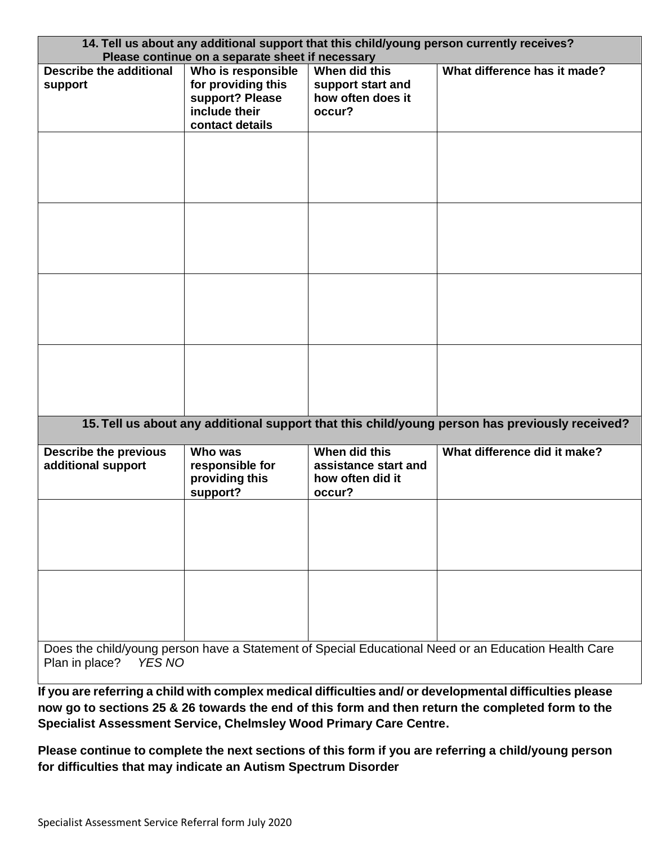| 14. Tell us about any additional support that this child/young person currently receives?<br>Please continue on a separate sheet if necessary |                                                                                                 |                                                                     |                                                                                                      |
|-----------------------------------------------------------------------------------------------------------------------------------------------|-------------------------------------------------------------------------------------------------|---------------------------------------------------------------------|------------------------------------------------------------------------------------------------------|
| <b>Describe the additional</b><br>support                                                                                                     | Who is responsible<br>for providing this<br>support? Please<br>include their<br>contact details | When did this<br>support start and<br>how often does it<br>occur?   | What difference has it made?                                                                         |
|                                                                                                                                               |                                                                                                 |                                                                     |                                                                                                      |
|                                                                                                                                               |                                                                                                 |                                                                     |                                                                                                      |
|                                                                                                                                               |                                                                                                 |                                                                     |                                                                                                      |
|                                                                                                                                               |                                                                                                 |                                                                     |                                                                                                      |
|                                                                                                                                               |                                                                                                 |                                                                     | 15. Tell us about any additional support that this child/young person has previously received?       |
| <b>Describe the previous</b><br>additional support                                                                                            | Who was<br>responsible for<br>providing this<br>support?                                        | When did this<br>assistance start and<br>how often did it<br>occur? | What difference did it make?                                                                         |
|                                                                                                                                               |                                                                                                 |                                                                     |                                                                                                      |
|                                                                                                                                               |                                                                                                 |                                                                     |                                                                                                      |
| Plan in place?<br>YES NO                                                                                                                      |                                                                                                 |                                                                     | Does the child/young person have a Statement of Special Educational Need or an Education Health Care |

**If you are referring a child with complex medical difficulties and/ or developmental difficulties please now go to sections 25 & 26 towards the end of this form and then return the completed form to the Specialist Assessment Service, Chelmsley Wood Primary Care Centre.** 

**Please continue to complete the next sections of this form if you are referring a child/young person for difficulties that may indicate an Autism Spectrum Disorder**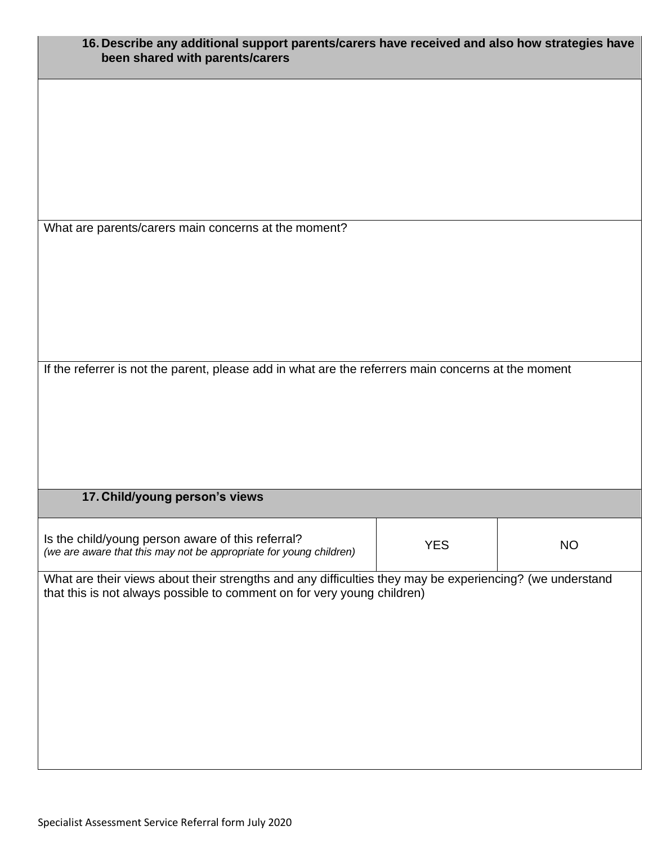| 16. Describe any additional support parents/carers have received and also how strategies have<br>been shared with parents/carers                                                    |            |           |
|-------------------------------------------------------------------------------------------------------------------------------------------------------------------------------------|------------|-----------|
|                                                                                                                                                                                     |            |           |
|                                                                                                                                                                                     |            |           |
|                                                                                                                                                                                     |            |           |
| What are parents/carers main concerns at the moment?                                                                                                                                |            |           |
|                                                                                                                                                                                     |            |           |
|                                                                                                                                                                                     |            |           |
|                                                                                                                                                                                     |            |           |
| If the referrer is not the parent, please add in what are the referrers main concerns at the moment                                                                                 |            |           |
|                                                                                                                                                                                     |            |           |
|                                                                                                                                                                                     |            |           |
|                                                                                                                                                                                     |            |           |
| 17. Child/young person's views                                                                                                                                                      |            |           |
|                                                                                                                                                                                     |            |           |
| Is the child/young person aware of this referral?<br>(we are aware that this may not be appropriate for young children)                                                             | <b>YES</b> | <b>NO</b> |
| What are their views about their strengths and any difficulties they may be experiencing? (we understand<br>that this is not always possible to comment on for very young children) |            |           |
|                                                                                                                                                                                     |            |           |
|                                                                                                                                                                                     |            |           |
|                                                                                                                                                                                     |            |           |
|                                                                                                                                                                                     |            |           |
|                                                                                                                                                                                     |            |           |
|                                                                                                                                                                                     |            |           |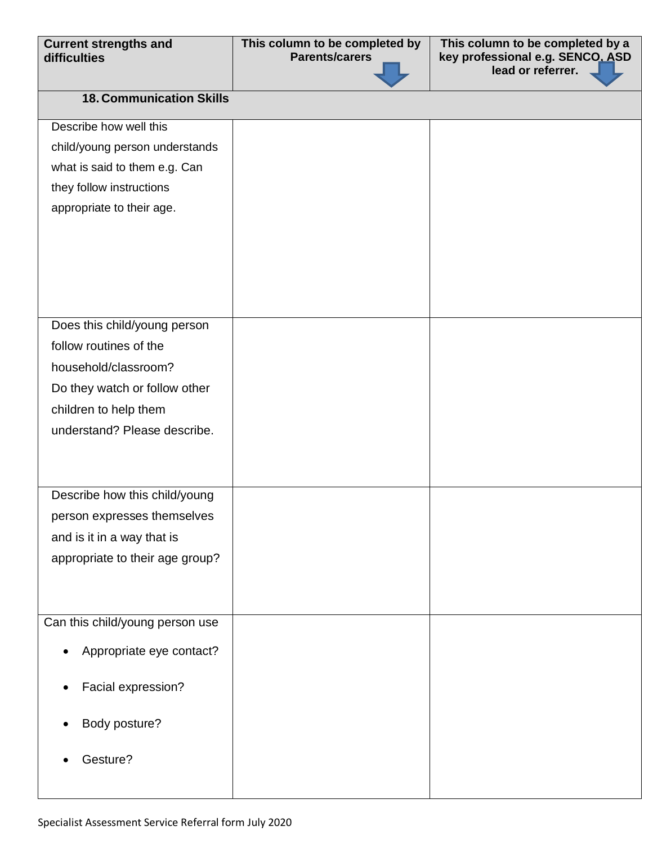| <b>Current strengths and</b> |  |
|------------------------------|--|
| difficulties                 |  |

**This column to be completed by a key professional e.g. SENCO, ASD lead or referrer.** 

# **18. Communication Skills**

| Describe how well this          |  |
|---------------------------------|--|
| child/young person understands  |  |
| what is said to them e.g. Can   |  |
| they follow instructions        |  |
| appropriate to their age.       |  |
|                                 |  |
|                                 |  |
|                                 |  |
|                                 |  |
|                                 |  |
| Does this child/young person    |  |
| follow routines of the          |  |
| household/classroom?            |  |
| Do they watch or follow other   |  |
| children to help them           |  |
| understand? Please describe.    |  |
|                                 |  |
|                                 |  |
| Describe how this child/young   |  |
| person expresses themselves     |  |
| and is it in a way that is      |  |
| appropriate to their age group? |  |
|                                 |  |
|                                 |  |
| Can this child/young person use |  |
|                                 |  |
| Appropriate eye contact?        |  |
| Facial expression?              |  |
|                                 |  |
| Body posture?                   |  |
|                                 |  |
| Gesture?                        |  |
|                                 |  |
|                                 |  |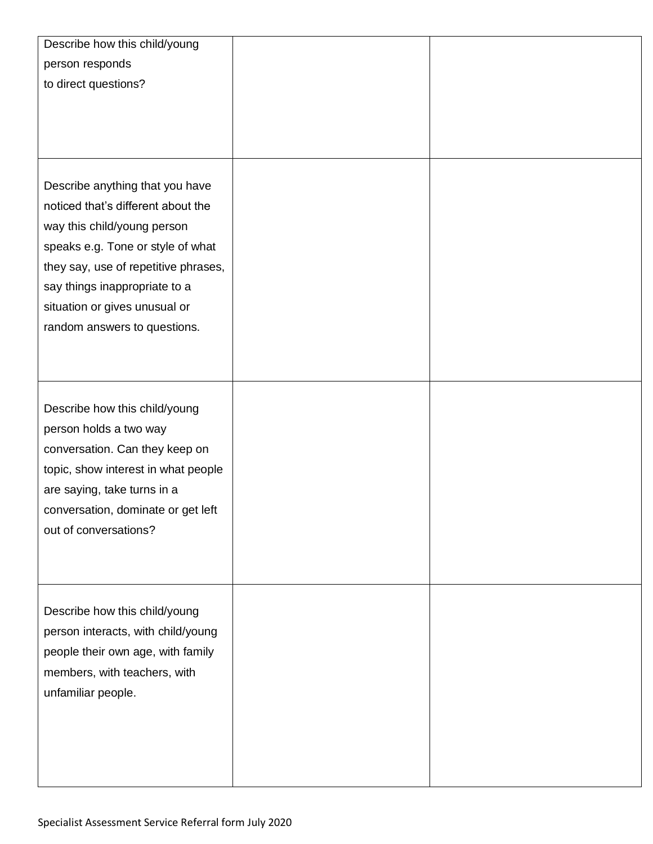| Describe how this child/young        |  |
|--------------------------------------|--|
| person responds                      |  |
| to direct questions?                 |  |
|                                      |  |
|                                      |  |
|                                      |  |
|                                      |  |
| Describe anything that you have      |  |
| noticed that's different about the   |  |
| way this child/young person          |  |
| speaks e.g. Tone or style of what    |  |
| they say, use of repetitive phrases, |  |
| say things inappropriate to a        |  |
| situation or gives unusual or        |  |
| random answers to questions.         |  |
|                                      |  |
|                                      |  |
|                                      |  |
| Describe how this child/young        |  |
|                                      |  |
| person holds a two way               |  |
| conversation. Can they keep on       |  |
| topic, show interest in what people  |  |
| are saying, take turns in a          |  |
| conversation, dominate or get left   |  |
| out of conversations?                |  |
|                                      |  |
|                                      |  |
|                                      |  |
| Describe how this child/young        |  |
| person interacts, with child/young   |  |
| people their own age, with family    |  |
| members, with teachers, with         |  |
| unfamiliar people.                   |  |
|                                      |  |
|                                      |  |
|                                      |  |
|                                      |  |
|                                      |  |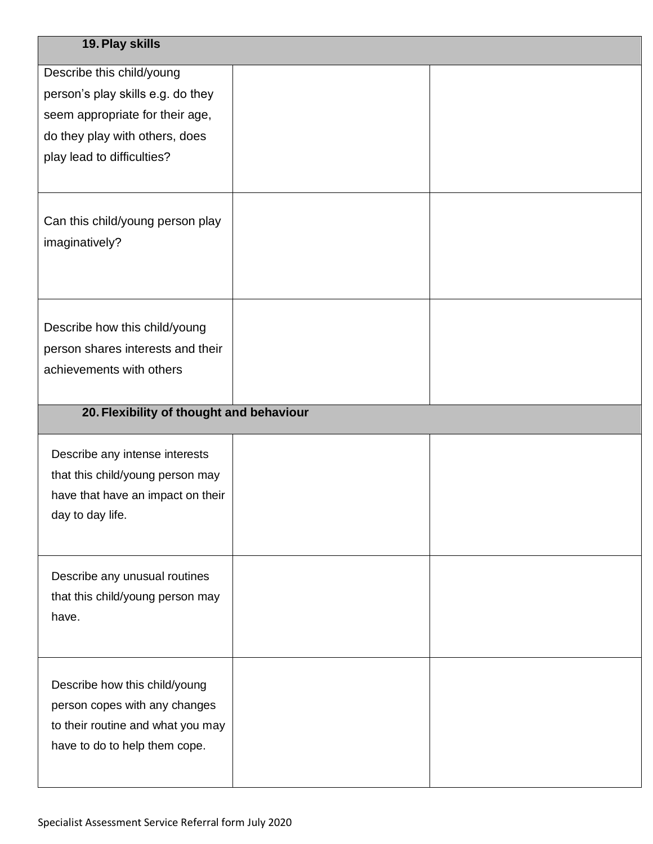| 19. Play skills                                                                                |  |
|------------------------------------------------------------------------------------------------|--|
| Describe this child/young                                                                      |  |
| person's play skills e.g. do they                                                              |  |
| seem appropriate for their age,                                                                |  |
| do they play with others, does                                                                 |  |
| play lead to difficulties?                                                                     |  |
| Can this child/young person play<br>imaginatively?                                             |  |
| Describe how this child/young<br>person shares interests and their<br>achievements with others |  |
| 20. Flexibility of thought and behaviour                                                       |  |
|                                                                                                |  |
| Describe any intense interests                                                                 |  |
| that this child/young person may                                                               |  |
| have that have an impact on their                                                              |  |
| day to day life.                                                                               |  |
|                                                                                                |  |
| Describe any unusual routines                                                                  |  |
| that this child/young person may                                                               |  |
| have.                                                                                          |  |
|                                                                                                |  |
|                                                                                                |  |
| Describe how this child/young                                                                  |  |
| person copes with any changes<br>to their routine and what you may                             |  |
| have to do to help them cope.                                                                  |  |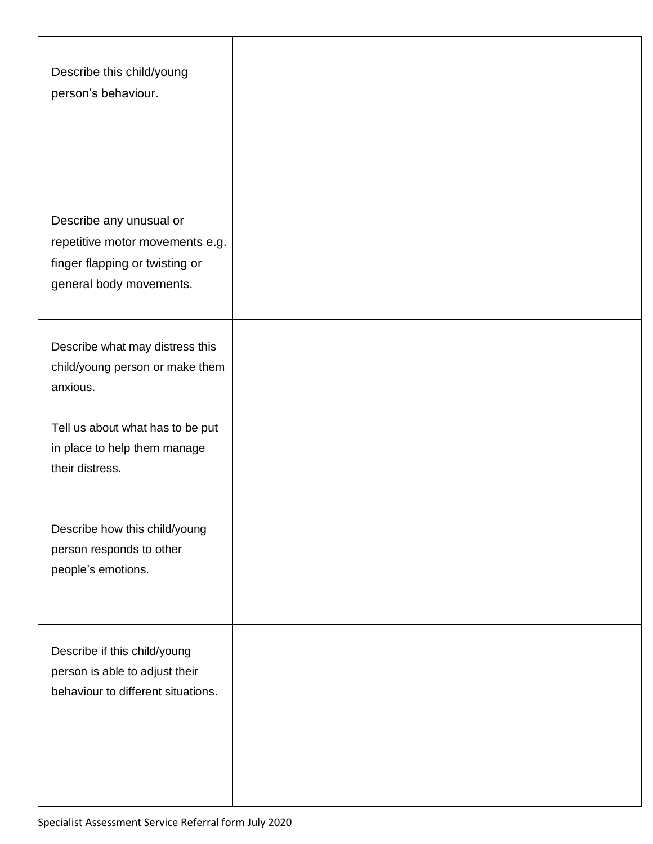| Describe this child/young<br>person's behaviour.                                                                                                                      |  |
|-----------------------------------------------------------------------------------------------------------------------------------------------------------------------|--|
| Describe any unusual or<br>repetitive motor movements e.g.<br>finger flapping or twisting or<br>general body movements.                                               |  |
| Describe what may distress this<br>child/young person or make them<br>anxious.<br>Tell us about what has to be put<br>in place to help them manage<br>their distress. |  |
| Describe how this child/young<br>person responds to other<br>people's emotions.                                                                                       |  |
| Describe if this child/young<br>person is able to adjust their<br>behaviour to different situations.                                                                  |  |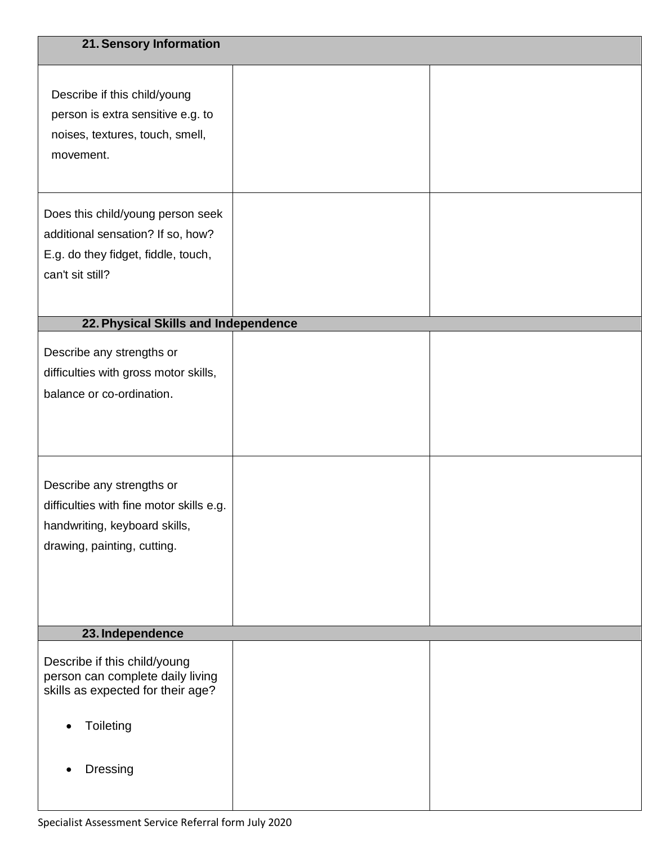| 21. Sensory Information                                                                                                               |  |
|---------------------------------------------------------------------------------------------------------------------------------------|--|
| Describe if this child/young<br>person is extra sensitive e.g. to<br>noises, textures, touch, smell,<br>movement.                     |  |
| Does this child/young person seek<br>additional sensation? If so, how?<br>E.g. do they fidget, fiddle, touch,<br>can't sit still?     |  |
| 22. Physical Skills and Independence                                                                                                  |  |
| Describe any strengths or<br>difficulties with gross motor skills,<br>balance or co-ordination.                                       |  |
| Describe any strengths or<br>difficulties with fine motor skills e.g.<br>handwriting, keyboard skills,<br>drawing, painting, cutting. |  |
| 23. Independence                                                                                                                      |  |
| Describe if this child/young<br>person can complete daily living<br>skills as expected for their age?<br>Toileting<br>Dressing        |  |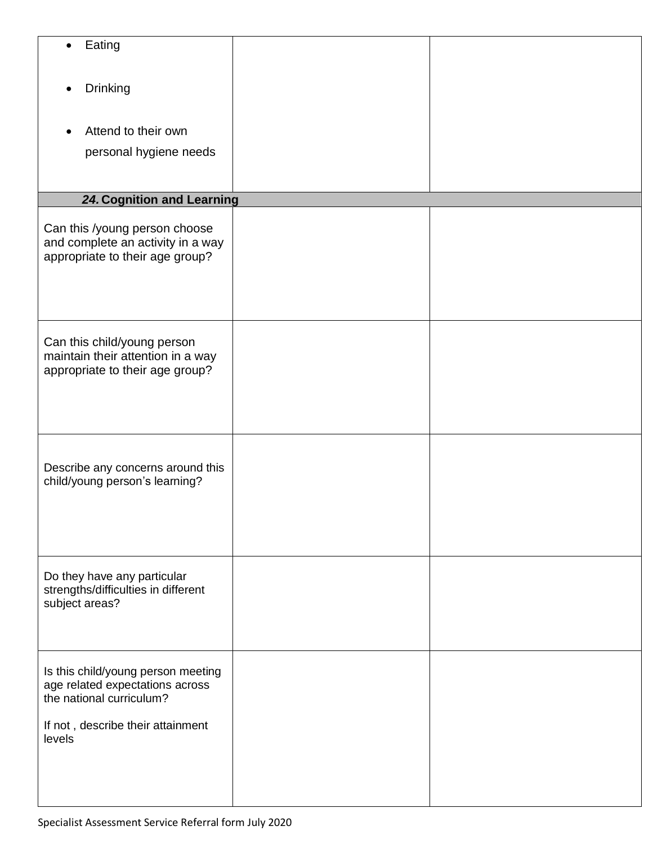| Eating                                                                                                                                           |  |
|--------------------------------------------------------------------------------------------------------------------------------------------------|--|
| Drinking                                                                                                                                         |  |
| Attend to their own<br>personal hygiene needs                                                                                                    |  |
| 24. Cognition and Learning                                                                                                                       |  |
| Can this /young person choose<br>and complete an activity in a way<br>appropriate to their age group?                                            |  |
| Can this child/young person<br>maintain their attention in a way<br>appropriate to their age group?                                              |  |
| Describe any concerns around this<br>child/young person's learning?                                                                              |  |
| Do they have any particular<br>strengths/difficulties in different<br>subject areas?                                                             |  |
| Is this child/young person meeting<br>age related expectations across<br>the national curriculum?<br>If not, describe their attainment<br>levels |  |